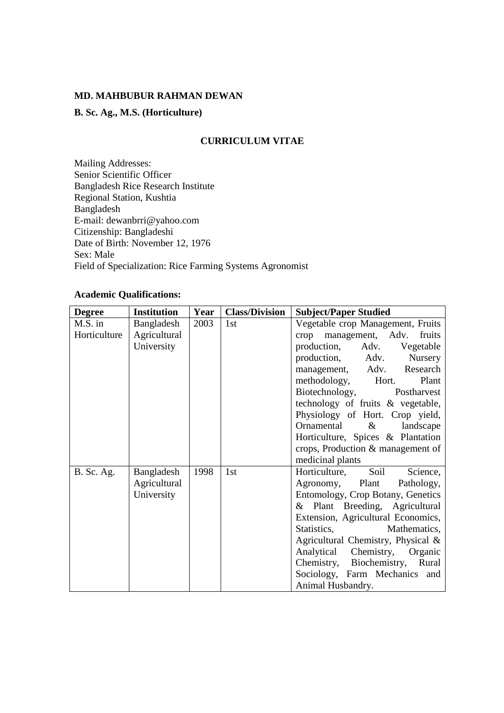### **MD. MAHBUBUR RAHMAN DEWAN**

## **B. Sc. Ag., M.S. (Horticulture)**

### **CURRICULUM VITAE**

Mailing Addresses: Senior Scientific Officer Bangladesh Rice Research Institute Regional Station, Kushtia Bangladesh E-mail: dewanbrri@yahoo.com Citizenship: Bangladeshi Date of Birth: November 12, 1976 Sex: Male Field of Specialization: Rice Farming Systems Agronomist

# **Academic Qualifications:**

| <b>Degree</b>     | <b>Institution</b> | Year | <b>Class/Division</b> | <b>Subject/Paper Studied</b>          |  |  |
|-------------------|--------------------|------|-----------------------|---------------------------------------|--|--|
| M.S. in           | Bangladesh         | 2003 | 1st                   | Vegetable crop Management, Fruits     |  |  |
| Horticulture      | Agricultural       |      |                       | crop management, Adv.<br>fruits       |  |  |
|                   | University         |      |                       | production,<br>Adv.<br>Vegetable      |  |  |
|                   |                    |      |                       | production, Adv.<br>Nursery           |  |  |
|                   |                    |      |                       | management, Adv. Research             |  |  |
|                   |                    |      |                       | methodology, Hort.<br>Plant           |  |  |
|                   |                    |      |                       | Biotechnology,<br>Postharvest         |  |  |
|                   |                    |      |                       | technology of fruits & vegetable,     |  |  |
|                   |                    |      |                       | Physiology of Hort. Crop yield,       |  |  |
|                   |                    |      |                       | Ornamental<br>$\&$<br>landscape       |  |  |
|                   |                    |      |                       | Horticulture, Spices & Plantation     |  |  |
|                   |                    |      |                       | crops, Production & management of     |  |  |
|                   |                    |      |                       | medicinal plants                      |  |  |
| <b>B.</b> Sc. Ag. | Bangladesh         | 1998 | 1st                   | Soil<br>Science,<br>Horticulture,     |  |  |
|                   | Agricultural       |      |                       | Agronomy, Plant<br>Pathology,         |  |  |
|                   | University         |      |                       | Entomology, Crop Botany, Genetics     |  |  |
|                   |                    |      |                       | & Plant Breeding, Agricultural        |  |  |
|                   |                    |      |                       | Extension, Agricultural Economics,    |  |  |
|                   |                    |      |                       | Statistics,<br>Mathematics,           |  |  |
|                   |                    |      |                       | Agricultural Chemistry, Physical $\&$ |  |  |
|                   |                    |      |                       | Chemistry, Organic<br>Analytical      |  |  |
|                   |                    |      |                       | Chemistry,<br>Biochemistry, Rural     |  |  |
|                   |                    |      |                       | Sociology, Farm Mechanics and         |  |  |
|                   |                    |      |                       | Animal Husbandry.                     |  |  |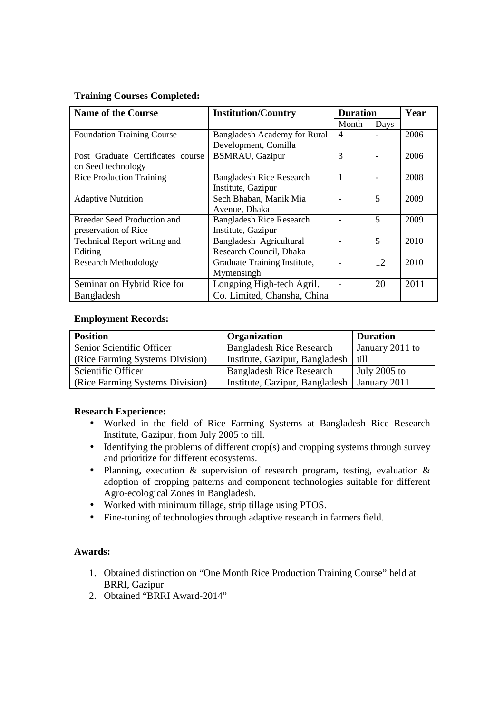## **Training Courses Completed:**

| <b>Name of the Course</b>         | <b>Institution/Country</b>          | <b>Duration</b> |                          | Year |
|-----------------------------------|-------------------------------------|-----------------|--------------------------|------|
|                                   |                                     | Month           | Days                     |      |
| <b>Foundation Training Course</b> | <b>Bangladesh Academy for Rural</b> | 4               | $\blacksquare$           | 2006 |
|                                   | Development, Comilla                |                 |                          |      |
| Post Graduate Certificates course | <b>BSMRAU, Gazipur</b>              | 3               | $\overline{\phantom{0}}$ | 2006 |
| on Seed technology                |                                     |                 |                          |      |
| <b>Rice Production Training</b>   | <b>Bangladesh Rice Research</b>     | 1               | $\overline{\phantom{0}}$ | 2008 |
|                                   | Institute, Gazipur                  |                 |                          |      |
| <b>Adaptive Nutrition</b>         | Sech Bhaban, Manik Mia              |                 | 5                        | 2009 |
|                                   | Avenue, Dhaka                       |                 |                          |      |
| Breeder Seed Production and       | <b>Bangladesh Rice Research</b>     |                 | 5                        | 2009 |
| preservation of Rice              | Institute, Gazipur                  |                 |                          |      |
| Technical Report writing and      | Bangladesh Agricultural             |                 | 5                        | 2010 |
| Editing                           | Research Council, Dhaka             |                 |                          |      |
| <b>Research Methodology</b>       | Graduate Training Institute,        |                 | 12                       | 2010 |
|                                   | Mymensingh                          |                 |                          |      |
| Seminar on Hybrid Rice for        | Longping High-tech Agril.           |                 | 20                       | 2011 |
| Bangladesh                        | Co. Limited, Chansha, China         |                 |                          |      |

### **Employment Records:**

| <b>Position</b>                 | Organization                    | <b>Duration</b> |  |
|---------------------------------|---------------------------------|-----------------|--|
| Senior Scientific Officer       | <b>Bangladesh Rice Research</b> | January 2011 to |  |
| (Rice Farming Systems Division) | Institute, Gazipur, Bangladesh  | till            |  |
| Scientific Officer              | <b>Bangladesh Rice Research</b> | July $2005$ to  |  |
| (Rice Farming Systems Division) | Institute, Gazipur, Bangladesh  | January 2011    |  |

### **Research Experience:**

- Worked in the field of Rice Farming Systems at Bangladesh Rice Research Institute, Gazipur, from July 2005 to till.
- Identifying the problems of different crop(s) and cropping systems through survey and prioritize for different ecosystems.
- Planning, execution & supervision of research program, testing, evaluation & adoption of cropping patterns and component technologies suitable for different Agro-ecological Zones in Bangladesh.
- Worked with minimum tillage, strip tillage using PTOS.
- Fine-tuning of technologies through adaptive research in farmers field.

## **Awards:**

- 1. Obtained distinction on "One Month Rice Production Training Course" held at BRRI, Gazipur
- 2. Obtained "BRRI Award-2014"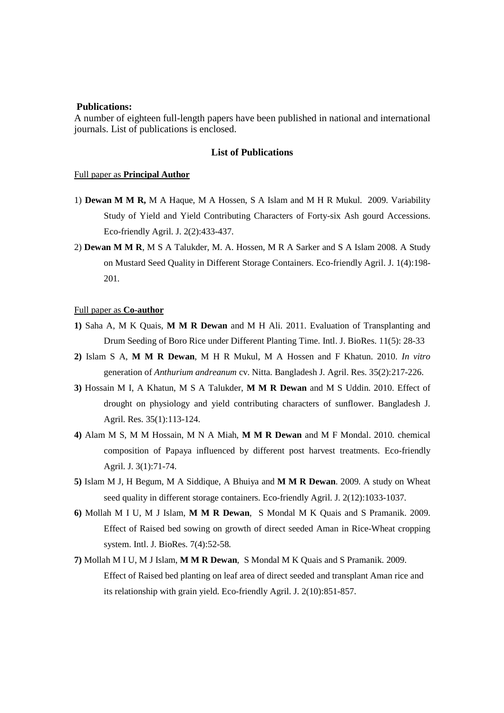#### **Publications:**

A number of eighteen full-length papers have been published in national and international journals. List of publications is enclosed.

#### **List of Publications**

#### Full paper as **Principal Author**

- 1) **Dewan M M R,** M A Haque, M A Hossen, S A Islam and M H R Mukul. 2009. Variability Study of Yield and Yield Contributing Characters of Forty-six Ash gourd Accessions. Eco-friendly Agril. J. 2(2):433-437.
- 2) **Dewan M M R**, M S A Talukder, M. A. Hossen, M R A Sarker and S A Islam 2008. A Study on Mustard Seed Quality in Different Storage Containers. Eco-friendly Agril. J. 1(4):198- 201.

#### Full paper as **Co-author**

- **1)** Saha A, M K Quais, **M M R Dewan** and M H Ali. 2011. Evaluation of Transplanting and Drum Seeding of Boro Rice under Different Planting Time. Intl. J. BioRes. 11(5): 28-33
- **2)** Islam S A, **M M R Dewan**, M H R Mukul, M A Hossen and F Khatun. 2010. *In vitro* generation of *Anthurium andreanum* cv. Nitta. Bangladesh J. Agril. Res. 35(2):217-226.
- **3)** Hossain M I, A Khatun, M S A Talukder, **M M R Dewan** and M S Uddin. 2010. Effect of drought on physiology and yield contributing characters of sunflower. Bangladesh J. Agril. Res. 35(1):113-124.
- **4)** Alam M S, M M Hossain, M N A Miah, **M M R Dewan** and M F Mondal. 2010. chemical composition of Papaya influenced by different post harvest treatments. Eco-friendly Agril. J. 3(1):71-74.
- **5)** Islam M J, H Begum, M A Siddique, A Bhuiya and **M M R Dewan**. 2009. A study on Wheat seed quality in different storage containers. Eco-friendly Agril. J. 2(12):1033-1037.
- **6)** Mollah M I U, M J Islam, **M M R Dewan**, S Mondal M K Quais and S Pramanik. 2009. Effect of Raised bed sowing on growth of direct seeded Aman in Rice-Wheat cropping system. Intl. J. BioRes. 7(4):52-58.
- **7)** Mollah M I U, M J Islam, **M M R Dewan**, S Mondal M K Quais and S Pramanik. 2009. Effect of Raised bed planting on leaf area of direct seeded and transplant Aman rice and its relationship with grain yield. Eco-friendly Agril. J. 2(10):851-857.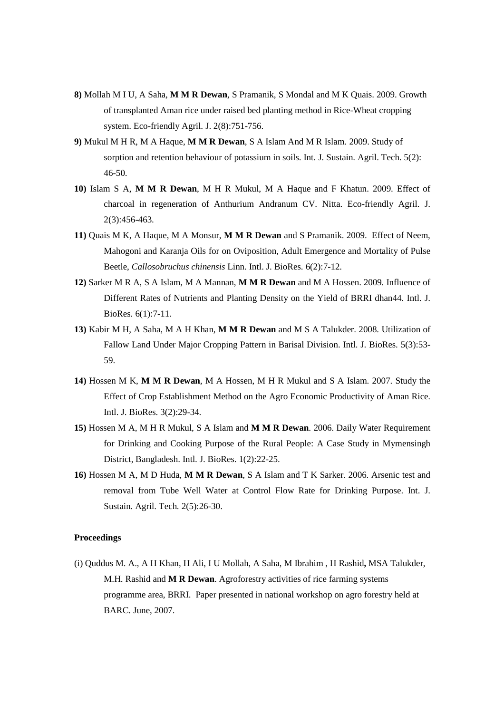- **8)** Mollah M I U, A Saha, **M M R Dewan**, S Pramanik, S Mondal and M K Quais. 2009. Growth of transplanted Aman rice under raised bed planting method in Rice-Wheat cropping system. Eco-friendly Agril. J. 2(8):751-756.
- **9)** Mukul M H R, M A Haque, **M M R Dewan**, S A Islam And M R Islam. 2009. Study of sorption and retention behaviour of potassium in soils. Int. J. Sustain. Agril. Tech. 5(2): 46-50.
- **10)** Islam S A, **M M R Dewan**, M H R Mukul, M A Haque and F Khatun. 2009. Effect of charcoal in regeneration of Anthurium Andranum CV. Nitta. Eco-friendly Agril. J. 2(3):456-463.
- **11)** Quais M K, A Haque, M A Monsur, **M M R Dewan** and S Pramanik. 2009. Effect of Neem, Mahogoni and Karanja Oils for on Oviposition, Adult Emergence and Mortality of Pulse Beetle, *Callosobruchus chinensis* Linn. Intl. J. BioRes. 6(2):7-12.
- **12)** Sarker M R A, S A Islam, M A Mannan, **M M R Dewan** and M A Hossen. 2009. Influence of Different Rates of Nutrients and Planting Density on the Yield of BRRI dhan44. Intl. J. BioRes. 6(1):7-11.
- **13)** Kabir M H, A Saha, M A H Khan, **M M R Dewan** and M S A Talukder. 2008. Utilization of Fallow Land Under Major Cropping Pattern in Barisal Division. Intl. J. BioRes. 5(3):53- 59.
- **14)** Hossen M K, **M M R Dewan**, M A Hossen, M H R Mukul and S A Islam. 2007. Study the Effect of Crop Establishment Method on the Agro Economic Productivity of Aman Rice. Intl. J. BioRes. 3(2):29-34.
- **15)** Hossen M A, M H R Mukul, S A Islam and **M M R Dewan**. 2006. Daily Water Requirement for Drinking and Cooking Purpose of the Rural People: A Case Study in Mymensingh District, Bangladesh. Intl. J. BioRes. 1(2):22-25.
- **16)** Hossen M A, M D Huda, **M M R Dewan**, S A Islam and T K Sarker. 2006. Arsenic test and removal from Tube Well Water at Control Flow Rate for Drinking Purpose. Int. J. Sustain. Agril. Tech. 2(5):26-30.

#### **Proceedings**

(i) Quddus M. A., A H Khan, H Ali, I U Mollah, A Saha, M Ibrahim , H Rashid**,** MSA Talukder, M.H. Rashid and **M R Dewan**. Agroforestry activities of rice farming systems programme area, BRRI. Paper presented in national workshop on agro forestry held at BARC. June, 2007.